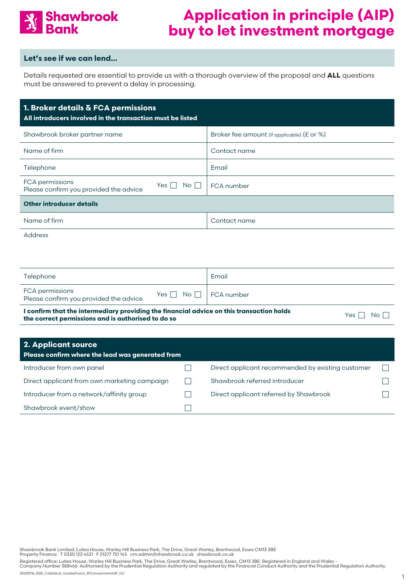

#### **Let's see if we can lend…**

Details requested are essential to provide us with a thorough overview of the proposal and **ALL** questions must be answered to prevent a delay in processing.

Address

| Telephone                                                 |                                 | Email |
|-----------------------------------------------------------|---------------------------------|-------|
| FCA permissions<br>Please confirm you provided the advice | Yes $\Box$ No $\Box$ FCA number |       |

**I confirm that the intermediary providing the financial advice on this transaction holds the correct permissions and is authorised to do so yes and the correct permissions and is authorised to do so** 

| 2. Applicant source<br>Please confirm where the lead was generated from |                                                   |  |
|-------------------------------------------------------------------------|---------------------------------------------------|--|
| Introducer from own panel                                               | Direct applicant recommended by existing customer |  |
| Direct applicant from own marketing campaign                            | Shawbrook referred introducer                     |  |
| Introducer from a network/affinity group                                | Direct applicant referred by Shawbrook            |  |
| Shawbrook event/show                                                    |                                                   |  |

Shawbrook Bank Limited, Lutea House, Warley Hill Business Park, The Drive, Great Warley, Brentwood, Essex CM13 3BE<br>Property Finance T 0330 123 4521 F 01277 751 145 cm.admin@shawbrook.co.uk shawbrook.co.uk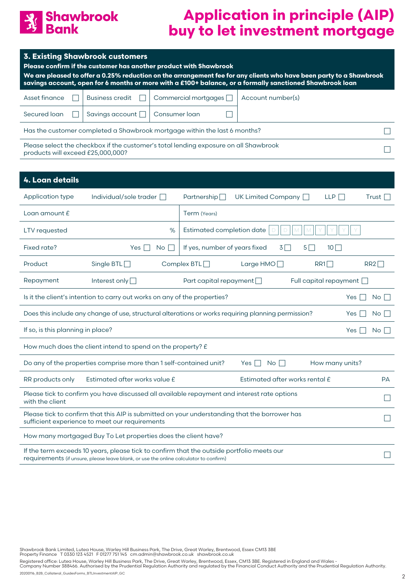

|                                                                                                                               | <b>3. Existing Shawbrook customers</b><br>Please confirm if the customer has another product with Shawbrook<br>We are pleased to offer a 0.25% reduction on the arrangement fee for any clients who have been party to a Shawbrook<br>savings account, open for 6 months or more with a £100+ balance, or a formally sanctioned Shawbrook loan |               |                               |                      |                                |          |                   |
|-------------------------------------------------------------------------------------------------------------------------------|------------------------------------------------------------------------------------------------------------------------------------------------------------------------------------------------------------------------------------------------------------------------------------------------------------------------------------------------|---------------|-------------------------------|----------------------|--------------------------------|----------|-------------------|
| Asset finance                                                                                                                 | <b>Business credit</b>                                                                                                                                                                                                                                                                                                                         |               | Commercial mortgages [        | Account number(s)    |                                |          |                   |
| Secured loan                                                                                                                  | Savings account                                                                                                                                                                                                                                                                                                                                | Consumer loan |                               |                      |                                |          |                   |
|                                                                                                                               | Has the customer completed a Shawbrook mortgage within the last 6 months?                                                                                                                                                                                                                                                                      |               |                               |                      |                                |          |                   |
| products will exceed £25,000,000?                                                                                             | Please select the checkbox if the customer's total lending exposure on all Shawbrook                                                                                                                                                                                                                                                           |               |                               |                      |                                |          |                   |
|                                                                                                                               |                                                                                                                                                                                                                                                                                                                                                |               |                               |                      |                                |          |                   |
| 4. Loan details                                                                                                               |                                                                                                                                                                                                                                                                                                                                                |               |                               |                      |                                |          |                   |
| Application type                                                                                                              | Individual/sole trader [                                                                                                                                                                                                                                                                                                                       |               | Partnership $\Box$            | UK Limited Company □ |                                | LLP      | Trust $\Box$      |
| Loan amount $f$                                                                                                               |                                                                                                                                                                                                                                                                                                                                                |               | Term (Years)                  |                      |                                |          |                   |
| <b>LTV</b> requested                                                                                                          |                                                                                                                                                                                                                                                                                                                                                | %             | Estimated completion date     |                      |                                |          |                   |
| Fixed rate?                                                                                                                   | Yes $\Box$                                                                                                                                                                                                                                                                                                                                     | No.           | If yes, number of years fixed |                      | $5\Box$<br>$3\Box$             | $10\Box$ |                   |
| Product                                                                                                                       | Single BTL $\Box$                                                                                                                                                                                                                                                                                                                              |               | Complex $BTL$                 | Large $HMO$          |                                | RR1      | $RR2\Box$         |
| Repayment<br>Interest only $\Box$<br>Full capital repayment [<br>Part capital repayment $\Box$                                |                                                                                                                                                                                                                                                                                                                                                |               |                               |                      |                                |          |                   |
| Is it the client's intention to carry out works on any of the properties?<br>No <sub>1</sub><br>Yes                           |                                                                                                                                                                                                                                                                                                                                                |               |                               |                      |                                |          |                   |
| Does this include any change of use, structural alterations or works requiring planning permission?<br>No <sub>1</sub><br>Yes |                                                                                                                                                                                                                                                                                                                                                |               |                               |                      |                                |          |                   |
| If so, is this planning in place?<br>No <sub>1</sub><br>Yes                                                                   |                                                                                                                                                                                                                                                                                                                                                |               |                               |                      |                                |          |                   |
| How much does the client intend to spend on the property? £                                                                   |                                                                                                                                                                                                                                                                                                                                                |               |                               |                      |                                |          |                   |
| Do any of the properties comprise more than 1 self-contained unit?<br>Yes $\Box$ No $\Box$<br>How many units?                 |                                                                                                                                                                                                                                                                                                                                                |               |                               |                      |                                |          |                   |
| RR products only                                                                                                              | Estimated after works value £                                                                                                                                                                                                                                                                                                                  |               |                               |                      | Estimated after works rental £ |          | PA                |
| with the client                                                                                                               | Please tick to confirm you have discussed all available repayment and interest rate options                                                                                                                                                                                                                                                    |               |                               |                      |                                |          | $\vert \ \ \vert$ |
|                                                                                                                               | Please tick to confirm that this AIP is submitted on your understanding that the borrower has<br>sufficient experience to meet our requirements                                                                                                                                                                                                |               |                               |                      |                                |          |                   |
| How many mortgaged Buy To Let properties does the client have?                                                                |                                                                                                                                                                                                                                                                                                                                                |               |                               |                      |                                |          |                   |
| If the term exceeds 10 years, please tick to confirm that the outside portfolio meets our                                     |                                                                                                                                                                                                                                                                                                                                                |               |                               |                      |                                |          |                   |

requirements (if unsure, please leave blank, or use the online calculator to confirm)

Shawbrook Bank Limited, Lutea House, Warley Hill Business Park, The Drive, Great Warley, Brentwood, Essex CM13 3BE<br>Property Finance T 0330 123 4521 F 01277 751 145 cm.admin@shawbrook.co.uk shawbrook.co.uk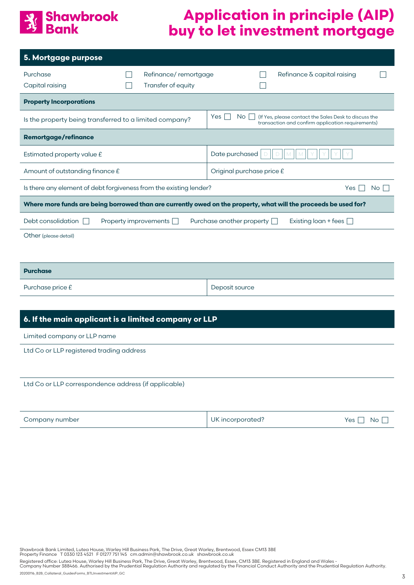#### Shawbrook **Bank**

# **Application in principle (AIP) buy to let investment mortgage**

| 5. Mortgage purpose                                                                                              |  |                                            |                                  |      |                                                                                                            |  |
|------------------------------------------------------------------------------------------------------------------|--|--------------------------------------------|----------------------------------|------|------------------------------------------------------------------------------------------------------------|--|
| Purchase<br>Capital raising                                                                                      |  | Refinance/remortgage<br>Transfer of equity |                                  |      | Refinance $\delta$ capital raising                                                                         |  |
| <b>Property Incorporations</b>                                                                                   |  |                                            |                                  |      |                                                                                                            |  |
| Is the property being transferred to a limited company?                                                          |  |                                            | Yes<br>No                        |      | (If Yes, please contact the Sales Desk to discuss the<br>transaction and confirm application requirements) |  |
| <b>Remortgage/refinance</b>                                                                                      |  |                                            |                                  |      |                                                                                                            |  |
| Estimated property value £                                                                                       |  |                                            | Date purchased                   |      |                                                                                                            |  |
| Amount of outstanding finance £                                                                                  |  |                                            | Original purchase price £        |      |                                                                                                            |  |
| Is there any element of debt forgiveness from the existing lender?<br>Yes                                        |  |                                            |                                  | No l |                                                                                                            |  |
| Where more funds are being borrowed than are currently owed on the property, what will the proceeds be used for? |  |                                            |                                  |      |                                                                                                            |  |
| Debt consolidation                                                                                               |  | Property improvements                      | Purchase another property $\Box$ |      | Existing loan + fees $\Box$                                                                                |  |
| Other (please detail)                                                                                            |  |                                            |                                  |      |                                                                                                            |  |
|                                                                                                                  |  |                                            |                                  |      |                                                                                                            |  |
| <b>Purchase</b>                                                                                                  |  |                                            |                                  |      |                                                                                                            |  |
| Purchase price £                                                                                                 |  |                                            | Deposit source                   |      |                                                                                                            |  |

#### **6. If the main applicant is a limited company or LLP**

Limited company or LLP name

Ltd Co or LLP registered trading address

#### Ltd Co or LLP correspondence address (if applicable)

| Company number | . incorporated?<br>JK. | Yes<br>No. |
|----------------|------------------------|------------|
|----------------|------------------------|------------|

Shawbrook Bank Limited, Lutea House, Warley Hill Business Park, The Drive, Great Warley, Brentwood, Essex CM13 3BE<br>Property Finance T 0330 123 4521 F 01277 751 145 cm.admin@shawbrook.co.uk shawbrook.co.uk

Registered office: Lutea House, Warley Hill Business Park, The Drive, Great Warley, Brentwood, Essex, CM13 3BE. Registered in England and Wales -<br>Company Number 388466. Authorised by the Prudential Regulation Authority and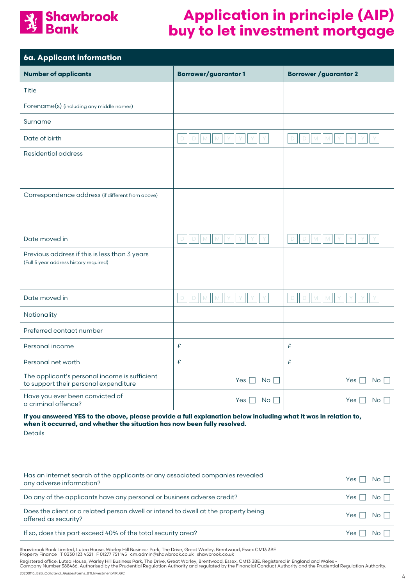

| 6a. Applicant information                                                               |                                               |                                |
|-----------------------------------------------------------------------------------------|-----------------------------------------------|--------------------------------|
| <b>Number of applicants</b>                                                             | <b>Borrower/guarantor1</b>                    | <b>Borrower / guarantor 2</b>  |
| Title                                                                                   |                                               |                                |
| Forename(s) (including any middle names)                                                |                                               |                                |
| Surname                                                                                 |                                               |                                |
| Date of birth                                                                           | $\Box$<br>$\Box$                              | $\Box$<br>D                    |
| <b>Residential address</b>                                                              |                                               |                                |
|                                                                                         |                                               |                                |
| Correspondence address (if different from above)                                        |                                               |                                |
|                                                                                         |                                               |                                |
|                                                                                         |                                               |                                |
| Date moved in                                                                           | $\mathsf D$<br>$\Box$<br>M                    | D<br>$\Box$<br>M               |
| Previous address if this is less than 3 years<br>(Full 3 year address history required) |                                               |                                |
|                                                                                         |                                               |                                |
| Date moved in                                                                           | $\mathsf D$<br>$\Box$<br>M<br>M               | $\Box$<br>D<br>M               |
| Nationality                                                                             |                                               |                                |
| Preferred contact number                                                                |                                               |                                |
| Personal income                                                                         | £                                             | £                              |
| Personal net worth                                                                      | £                                             | £                              |
| The applicant's personal income is sufficient<br>to support their personal expenditure  | Yes $\Box$<br>$\overline{\mathsf{No}}$ $\Box$ | Yes $\Box$<br>$No \ \bigsqcup$ |
| Have you ever been convicted of<br>a criminal offence?                                  | Yes $\Box$<br>$\overline{\mathsf{No}}$        | Yes $\Box$<br>No               |

#### **If you answered YES to the above, please provide a full explanation below including what it was in relation to, when it occurred, and whether the situation has now been fully resolved.**

Details

| Has an internet search of the applicants or any associated companies revealed<br>any adverse information?  | $Yes \Box No \Box$   |      |
|------------------------------------------------------------------------------------------------------------|----------------------|------|
| Do any of the applicants have any personal or business adverse credit?                                     | $Yes \Box No \Box$   |      |
| Does the client or a related person dwell or intend to dwell at the property being<br>offered as security? | Yes $\Box$ No $\Box$ |      |
| If so, does this part exceed 40% of the total security area?                                               | Yes I                | No I |

Shawbrook Bank Limited, Lutea House, Warley Hill Business Park, The Drive, Great Warley, Brentwood, Essex CM13 3BE<br>Property Finance T 0330 123 4521 F 01277 751 145 cm.admin@shawbrook.co.uk shawbrook.co.uk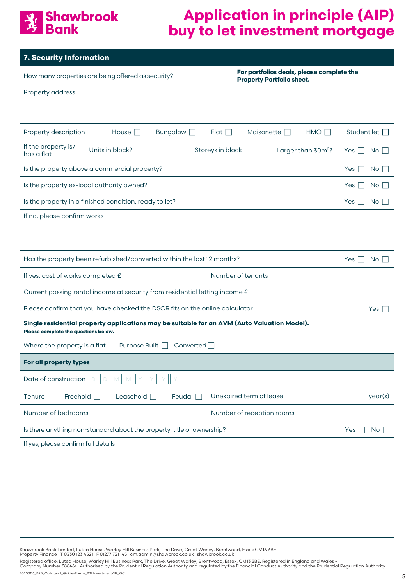

| 7. Security Information                                                                                                             |                                                                               |  |  |  |
|-------------------------------------------------------------------------------------------------------------------------------------|-------------------------------------------------------------------------------|--|--|--|
| How many properties are being offered as security?                                                                                  | For portfolios deals, please complete the<br><b>Property Portfolio sheet.</b> |  |  |  |
| Property address                                                                                                                    |                                                                               |  |  |  |
|                                                                                                                                     |                                                                               |  |  |  |
| Property description<br>House $\square$<br>Bungalow <b>D</b>                                                                        | Maisonette <b>D</b><br>$HMO$ $\Box$<br>Student let [<br>$Flat \Box$           |  |  |  |
| If the property is/<br>Units in block?<br>has a flat                                                                                | Storeys in block<br>Larger than 30m <sup>2</sup> ?<br>No<br>Yes               |  |  |  |
| Is the property above a commercial property?                                                                                        | Yes<br>No <sub>1</sub>                                                        |  |  |  |
| Is the property ex-local authority owned?                                                                                           | Yes  <br>No                                                                   |  |  |  |
| Is the property in a finished condition, ready to let?                                                                              | Yes<br>No <sub>1</sub>                                                        |  |  |  |
| If no, please confirm works                                                                                                         |                                                                               |  |  |  |
|                                                                                                                                     |                                                                               |  |  |  |
| Has the property been refurbished/converted within the last 12 months?                                                              | Yes  <br>$No$ $\Box$                                                          |  |  |  |
| Number of tenants<br>If yes, cost of works completed £                                                                              |                                                                               |  |  |  |
| Current passing rental income at security from residential letting income £                                                         |                                                                               |  |  |  |
| Please confirm that you have checked the DSCR fits on the online calculator<br>Yes $\Box$                                           |                                                                               |  |  |  |
| Single residential property applications may be suitable for an AVM (Auto Valuation Model).<br>Please complete the questions below. |                                                                               |  |  |  |
| Where the property is a flat<br>Purpose Built $\Box$<br>Converted                                                                   |                                                                               |  |  |  |
| For all property types                                                                                                              |                                                                               |  |  |  |
| Date of construction                                                                                                                |                                                                               |  |  |  |
| Unexpired term of lease<br>Freehold $\Box$<br>Leasehold $\Box$<br>Feudal $\Box$<br>Tenure                                           |                                                                               |  |  |  |
| Number of bedrooms<br>Number of reception rooms                                                                                     |                                                                               |  |  |  |
| Is there anything non-standard about the property, title or ownership?<br>No<br>Yes                                                 |                                                                               |  |  |  |
|                                                                                                                                     |                                                                               |  |  |  |

If yes, please confirm full details

Shawbrook Bank Limited, Lutea House, Warley Hill Business Park, The Drive, Great Warley, Brentwood, Essex CM13 3BE<br>Property Finance T 0330 123 4521 F 01277 751 145 cm.admin@shawbrook.co.uk shawbrook.co.uk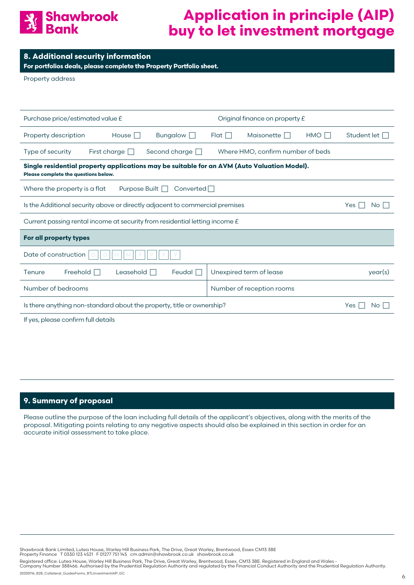

**For portfolios deals, please complete the Property Portfolio sheet.**

Property address

| Original finance on property £<br>Purchase price/estimated value £                                                                  |                                                                                                |                      |             |                                   |     |                    |
|-------------------------------------------------------------------------------------------------------------------------------------|------------------------------------------------------------------------------------------------|----------------------|-------------|-----------------------------------|-----|--------------------|
| Property description                                                                                                                | House $\Box$                                                                                   | Bungalow $\Box$      | $Flat \Box$ | Maisonette $\Box$                 | HMO | Student let $\Box$ |
| Type of security                                                                                                                    | First charge $\Box$                                                                            | Second charge $\Box$ |             | Where HMO, confirm number of beds |     |                    |
| Single residential property applications may be suitable for an AVM (Auto Valuation Model).<br>Please complete the questions below. |                                                                                                |                      |             |                                   |     |                    |
| Where the property is a flat                                                                                                        | Purpose Built $\Box$                                                                           | Converted            |             |                                   |     |                    |
|                                                                                                                                     | Is the Additional security above or directly adjacent to commercial premises<br>Yes II<br>No I |                      |             |                                   |     |                    |
| Current passing rental income at security from residential letting income £                                                         |                                                                                                |                      |             |                                   |     |                    |
| For all property types                                                                                                              |                                                                                                |                      |             |                                   |     |                    |
| Date of construction                                                                                                                |                                                                                                |                      |             |                                   |     |                    |
| Freehold $\Box$<br>Tenure                                                                                                           | Leasehold $\Box$                                                                               | Feudal $\Box$        |             | Unexpired term of lease           |     | year(s)            |
| Number of bedrooms                                                                                                                  |                                                                                                |                      |             | Number of reception rooms         |     |                    |
|                                                                                                                                     | Is there anything non-standard about the property, title or ownership?<br>Yes<br>No I          |                      |             |                                   |     |                    |
| If yes, please confirm full details                                                                                                 |                                                                                                |                      |             |                                   |     |                    |

#### **9. Summary of proposal**

Please outline the purpose of the loan including full details of the applicant's objectives, along with the merits of the proposal. Mitigating points relating to any negative aspects should also be explained in this section in order for an accurate initial assessment to take place.

Shawbrook Bank Limited, Lutea House, Warley Hill Business Park, The Drive, Great Warley, Brentwood, Essex CM13 3BE<br>Property Finance T 0330 123 4521 F 01277 751 145 cm.admin@shawbrook.co.uk shawbrook.co.uk

Registered office: Lutea House, Warley Hill Business Park, The Drive, Great Warley, Brentwood, Essex, CM13 3BE. Registered in England and Wales -<br>Company Number 388466. Authorised by the Prudential Regulation Authority and